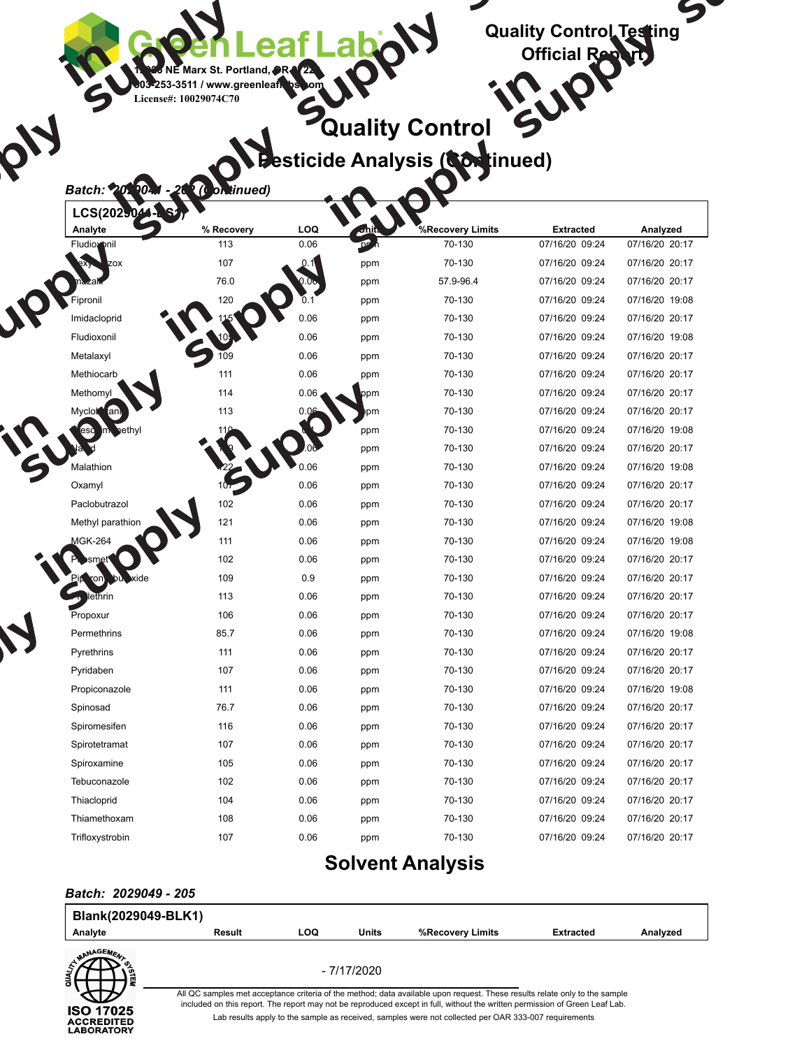

## **Quality Control Pesticide Analysis (Continued)**

#### *Batch: 2029041 - 202 (Continued)*

| LCS(2029041-BS1)   |            |      |       |                  |                  |                |
|--------------------|------------|------|-------|------------------|------------------|----------------|
| Analyte            | % Recovery | LOQ  | Units | %Recovery Limits | <b>Extracted</b> | Analyzed       |
| Fludioxonil        | 113        | 0.06 | ppm   | 70-130           | 07/16/20 09:24   | 07/16/20 20:17 |
| Hexythiazox        | 107        | 0.1  | ppm   | 70-130           | 07/16/20 09:24   | 07/16/20 20:17 |
| Imazalil           | 76.0       | 0.06 | ppm   | 57.9-96.4        | 07/16/20 09:24   | 07/16/20 20:17 |
| Fipronil           | 120        | 0.1  | ppm   | 70-130           | 07/16/20 09:24   | 07/16/20 19:08 |
| Imidacloprid       | 115        | 0.06 | ppm   | 70-130           | 07/16/20 09:24   | 07/16/20 20:17 |
| Fludioxonil        | 105        | 0.06 | ppm   | 70-130           | 07/16/20 09:24   | 07/16/20 19:08 |
| Metalaxyl          | 109        | 0.06 | ppm   | 70-130           | 07/16/20 09:24   | 07/16/20 20:17 |
| Methiocarb         | 111        | 0.06 | ppm   | 70-130           | 07/16/20 09:24   | 07/16/20 20:17 |
| Methomyl           | 114        | 0.06 | ppm   | 70-130           | 07/16/20 09:24   | 07/16/20 20:17 |
| Myclobutanil       | 113        | 0.06 | ppm   | 70-130           | 07/16/20 09:24   | 07/16/20 20:17 |
| Kresoxim-methyl    | 110        | 0.1  | ppm   | 70-130           | 07/16/20 09:24   | 07/16/20 19:08 |
| Naled              | 109        | 0.06 | ppm   | 70-130           | 07/16/20 09:24   | 07/16/20 20:17 |
| Malathion          | 122        | 0.06 | ppm   | 70-130           | 07/16/20 09:24   | 07/16/20 19:08 |
| Oxamyl             | 107        | 0.06 | ppm   | 70-130           | 07/16/20 09:24   | 07/16/20 20:17 |
| Paclobutrazol      | 102        | 0.06 | ppm   | 70-130           | 07/16/20 09:24   | 07/16/20 20:17 |
| Methyl parathion   | 121        | 0.06 | ppm   | 70-130           | 07/16/20 09:24   | 07/16/20 19:08 |
| <b>MGK-264</b>     | 111        | 0.06 | ppm   | 70-130           | 07/16/20 09:24   | 07/16/20 19:08 |
| Phosmet            | 102        | 0.06 | ppm   | 70-130           | 07/16/20 09:24   | 07/16/20 20:17 |
| Piperonyl butoxide | 109        | 0.9  | ppm   | 70-130           | 07/16/20 09:24   | 07/16/20 20:17 |
| Prallethrin        | 113        | 0.06 | ppm   | 70-130           | 07/16/20 09:24   | 07/16/20 20:17 |
| Propoxur           | 106        | 0.06 | ppm   | 70-130           | 07/16/20 09:24   | 07/16/20 20:17 |
| Permethrins        | 85.7       | 0.06 | ppm   | 70-130           | 07/16/20 09:24   | 07/16/20 19:08 |
| Pyrethrins         | 111        | 0.06 | ppm   | 70-130           | 07/16/20 09:24   | 07/16/20 20:17 |
| Pyridaben          | 107        | 0.06 | ppm   | 70-130           | 07/16/20 09:24   | 07/16/20 20:17 |
| Propiconazole      | 111        | 0.06 | ppm   | 70-130           | 07/16/20 09:24   | 07/16/20 19:08 |
| Spinosad           | 76.7       | 0.06 | ppm   | 70-130           | 07/16/20 09:24   | 07/16/20 20:17 |
| Spiromesifen       | 116        | 0.06 | ppm   | 70-130           | 07/16/20 09:24   | 07/16/20 20:17 |
| Spirotetramat      | 107        | 0.06 | ppm   | 70-130           | 07/16/20 09:24   | 07/16/20 20:17 |
| Spiroxamine        | 105        | 0.06 | ppm   | 70-130           | 07/16/20 09:24   | 07/16/20 20:17 |
| Tebuconazole       | 102        | 0.06 | ppm   | 70-130           | 07/16/20 09:24   | 07/16/20 20:17 |
| Thiacloprid        | 104        | 0.06 | ppm   | 70-130           | 07/16/20 09:24   | 07/16/20 20:17 |
| Thiamethoxam       | 108        | 0.06 | ppm   | 70-130           | 07/16/20 09:24   | 07/16/20 20:17 |
| Trifloxystrobin    | 107        | 0.06 | ppm   | 70-130           | 07/16/20 09:24   | 07/16/20 20:17 |

### **Solvent Analysis**

#### *Batch: 2029049 - 205*

| Blank(2029049-BLK1)                                        |        |                                                                                                                                                                                                                                                           |              |                                                                                                      |                  |          |  |  |  |
|------------------------------------------------------------|--------|-----------------------------------------------------------------------------------------------------------------------------------------------------------------------------------------------------------------------------------------------------------|--------------|------------------------------------------------------------------------------------------------------|------------------|----------|--|--|--|
| Analyte                                                    | Result | LOQ                                                                                                                                                                                                                                                       | <b>Units</b> | %Recovery Limits                                                                                     | <b>Extracted</b> | Analyzed |  |  |  |
| MANAGEME.                                                  |        | - 7/17/2020                                                                                                                                                                                                                                               |              |                                                                                                      |                  |          |  |  |  |
|                                                            |        | All QC samples met acceptance criteria of the method; data available upon request. These results relate only to the sample<br>included on this report. The report may not be reproduced except in full, without the written permission of Green Leaf Lab. |              |                                                                                                      |                  |          |  |  |  |
| <b>ISO 17025</b><br><b>ACCREDITED</b><br><b>LABORATORY</b> |        |                                                                                                                                                                                                                                                           |              | Lab results apply to the sample as received, samples were not collected per OAR 333-007 requirements |                  |          |  |  |  |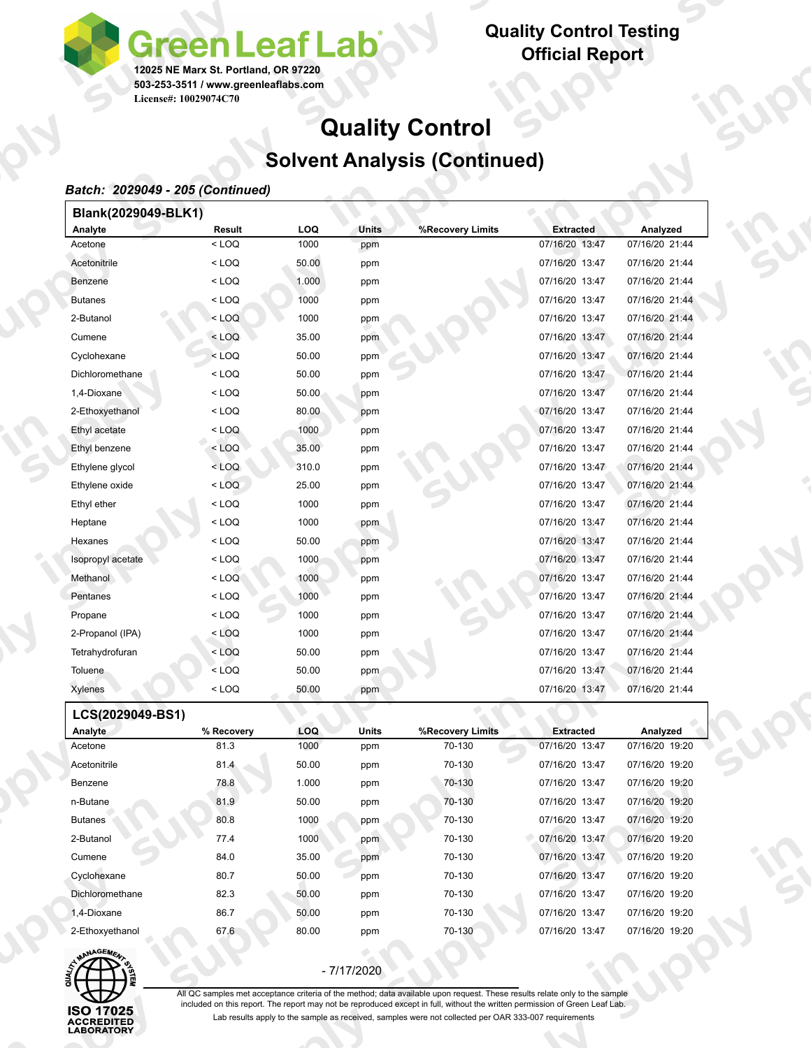**Quality Control Testing Official Report**

# **Quality Control Solvent Analysis (Continued)**

### *Batch: 2029049 - 205 (Continued)*

Я

**License#: 10029074C70**

**12025 NE Marx St. Portland, OR 97220 503-253-3511 / www.greenleaflabs.com**

**een Leaf Lak** 

| Blank(2029049-BLK1) |         |       |              |                  |                  |                |
|---------------------|---------|-------|--------------|------------------|------------------|----------------|
| Analyte             | Result  | LOQ   | <b>Units</b> | %Recovery Limits | <b>Extracted</b> | Analyzed       |
| Acetone             | $<$ LOQ | 1000  | ppm          |                  | 07/16/20 13:47   | 07/16/20 21:44 |
| Acetonitrile        | $<$ LOQ | 50.00 | ppm          |                  | 07/16/20 13:47   | 07/16/20 21:44 |
| Benzene             | $<$ LOQ | 1.000 | ppm          |                  | 07/16/20 13:47   | 07/16/20 21:44 |
| <b>Butanes</b>      | $<$ LOQ | 1000  | ppm          |                  | 07/16/20 13:47   | 07/16/20 21:44 |
| 2-Butanol           | $<$ LOQ | 1000  | ppm          |                  | 07/16/20 13:47   | 07/16/20 21:44 |
| Cumene              | $<$ LOQ | 35.00 | ppm          |                  | 07/16/20 13:47   | 07/16/20 21:44 |
| Cyclohexane         | $<$ LOQ | 50.00 | ppm          |                  | 07/16/20 13:47   | 07/16/20 21:44 |
| Dichloromethane     | $<$ LOQ | 50.00 | ppm          |                  | 07/16/20 13:47   | 07/16/20 21:44 |
| 1,4-Dioxane         | $<$ LOQ | 50.00 | ppm          |                  | 07/16/20 13:47   | 07/16/20 21:44 |
| 2-Ethoxyethanol     | $<$ LOQ | 80.00 | ppm          |                  | 07/16/20 13:47   | 07/16/20 21:44 |
| Ethyl acetate       | $<$ LOQ | 1000  | ppm          |                  | 07/16/20 13:47   | 07/16/20 21:44 |
| Ethyl benzene       | $<$ LOQ | 35.00 | ppm          |                  | 07/16/20 13:47   | 07/16/20 21:44 |
| Ethylene glycol     | $<$ LOQ | 310.0 | ppm          |                  | 07/16/20 13:47   | 07/16/20 21:44 |
| Ethylene oxide      | $<$ LOQ | 25.00 | ppm          |                  | 07/16/20 13:47   | 07/16/20 21:44 |
| Ethyl ether         | $<$ LOQ | 1000  | ppm          |                  | 07/16/20 13:47   | 07/16/20 21:44 |
| Heptane             | $<$ LOQ | 1000  | ppm          |                  | 07/16/20 13:47   | 07/16/20 21:44 |
| Hexanes             | $<$ LOQ | 50.00 | ppm          |                  | 07/16/20 13:47   | 07/16/20 21:44 |
| Isopropyl acetate   | $<$ LOQ | 1000  | ppm          |                  | 07/16/20 13:47   | 07/16/20 21:44 |
| Methanol            | $<$ LOQ | 1000  | ppm          |                  | 07/16/20 13:47   | 07/16/20 21:44 |
| Pentanes            | $<$ LOQ | 1000  | ppm          |                  | 07/16/20 13:47   | 07/16/20 21:44 |
| Propane             | $<$ LOQ | 1000  | ppm          |                  | 07/16/20 13:47   | 07/16/20 21:44 |
| 2-Propanol (IPA)    | $<$ LOQ | 1000  | ppm          |                  | 07/16/20 13:47   | 07/16/20 21:44 |
| Tetrahydrofuran     | $<$ LOQ | 50.00 | ppm          |                  | 07/16/20 13:47   | 07/16/20 21:44 |
| Toluene             | $<$ LOQ | 50.00 | ppm          |                  | 07/16/20 13:47   | 07/16/20 21:44 |
| Xylenes             | $<$ LOQ | 50.00 | ppm          |                  | 07/16/20 13:47   | 07/16/20 21:44 |

 **LCS(2029049-BS1)**

| ∟∪∪\∠∪∠⊽∪¬⊽-⊔∪  |            |            |       |                  |                  |                |
|-----------------|------------|------------|-------|------------------|------------------|----------------|
| Analyte         | % Recovery | <b>LOQ</b> | Units | %Recovery Limits | <b>Extracted</b> | Analyzed       |
| Acetone         | 81.3       | 1000       | ppm   | 70-130           | 07/16/20 13:47   | 07/16/20 19:20 |
| Acetonitrile    | 81.4       | 50.00      | ppm   | 70-130           | 07/16/20 13:47   | 07/16/20 19:20 |
| Benzene         | 78.8       | 1.000      | ppm   | 70-130           | 07/16/20 13:47   | 07/16/20 19:20 |
| n-Butane        | 81.9       | 50.00      | ppm   | 70-130           | 07/16/20 13:47   | 07/16/20 19:20 |
| <b>Butanes</b>  | 80.8       | 1000       | ppm   | 70-130           | 07/16/20 13:47   | 07/16/20 19:20 |
| 2-Butanol       | 77.4       | 1000       | ppm   | 70-130           | 07/16/20 13:47   | 07/16/20 19:20 |
| Cumene          | 84.0       | 35.00      | ppm   | 70-130           | 07/16/20 13:47   | 07/16/20 19:20 |
| Cyclohexane     | 80.7       | 50.00      | ppm   | 70-130           | 07/16/20 13:47   | 07/16/20 19:20 |
| Dichloromethane | 82.3       | 50.00      | ppm   | 70-130           | 07/16/20 13:47   | 07/16/20 19:20 |
| 1.4-Dioxane     | 86.7       | 50.00      | ppm   | 70-130           | 07/16/20 13:47   | 07/16/20 19:20 |
| 2-Ethoxyethanol | 67.6       | 80.00      | ppm   | 70-130           | 07/16/20 13:47   | 07/16/20 19:20 |



- 7/17/2020

All QC samples met acceptance criteria of the method; data available upon request. These results relate only to the sample included on this report. The report may not be reproduced except in full, without the written permission of Green Leaf Lab. Lab results apply to the sample as received, samples were not collected per OAR 333-007 requirements